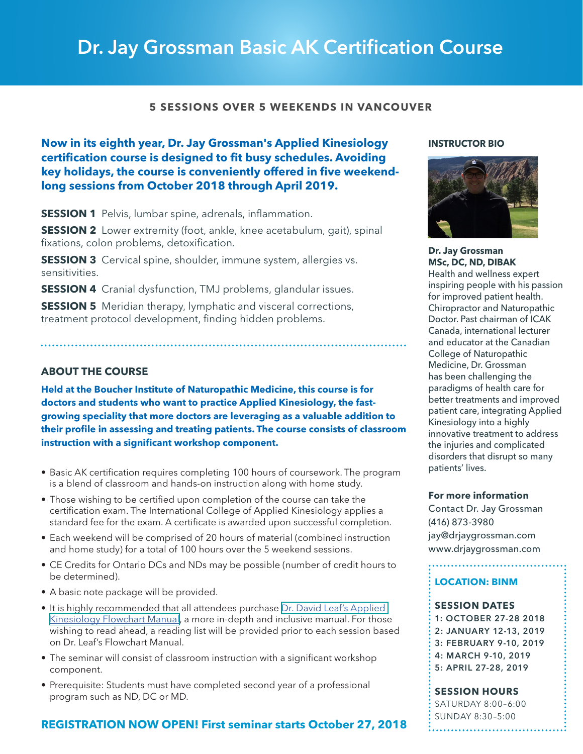# Dr. Jay Grossman Basic AK Certification Course

# **5 SESSIONS OVER 5 WEEKENDS IN VANCOUVER**

**Now in its eighth year, Dr. Jay Grossman's Applied Kinesiology certification course is designed to fit busy schedules. Avoiding key holidays, the course is conveniently offered in five weekendlong sessions from October 2018 through April 2019.**

**SESSION 1** Pelvis, lumbar spine, adrenals, inflammation.

**SESSION 2** Lower extremity (foot, ankle, knee acetabulum, gait), spinal fixations, colon problems, detoxification.

**SESSION 3** Cervical spine, shoulder, immune system, allergies vs. sensitivities.

**SESSION 4** Cranial dysfunction, TMJ problems, glandular issues.

**SESSION 5** Meridian therapy, lymphatic and visceral corrections, treatment protocol development, finding hidden problems.

# **ABOUT THE COURSE**

**Held at the Boucher Institute of Naturopathic Medicine, this course is for doctors and students who want to practice Applied Kinesiology, the fastgrowing speciality that more doctors are leveraging as a valuable addition to their profile in assessing and treating patients. The course consists of classroom instruction with a significant workshop component.** 

- Basic AK certification requires completing 100 hours of coursework. The program is a blend of classroom and hands-on instruction along with home study.
- Those wishing to be certified upon completion of the course can take the certification exam. The International College of Applied Kinesiology applies a standard fee for the exam. A certificate is awarded upon successful completion.
- Each weekend will be comprised of 20 hours of material (combined instruction and home study) for a total of 100 hours over the 5 weekend sessions.
- CE Credits for Ontario DCs and NDs may be possible (number of credit hours to be determined).
- A basic note package will be provided.
- It is highly recommended that all attendees purchase Dr. David Leaf's Applied [Kinesiology Flowchart Manual,](http://www.drdavidleaf.com/applied-kinesiology-french-flowchart-manual/) a more in-depth and inclusive manual. For those wishing to read ahead, a reading list will be provided prior to each session based on Dr. Leaf's Flowchart Manual.
- The seminar will consist of classroom instruction with a significant workshop component.
- Prerequisite: Students must have completed second year of a professional program such as ND, DC or MD.

# **REGISTRATION NOW OPEN! First seminar starts October 27, 2018**

#### **INSTRUCTOR BIO**

**Dr. Jay Grossman**



**MSc, DC, ND, DIBAK**  Health and wellness expert inspiring people with his passion for improved patient health. Chiropractor and Naturopathic Doctor. Past chairman of ICAK Canada, international lecturer and educator at the Canadian College of Naturopathic Medicine, Dr. Grossman has been challenging the paradigms of health care for better treatments and improved patient care, integrating Applied Kinesiology into a highly innovative treatment to address the injuries and complicated disorders that disrupt so many patients' lives.

**For more information**

Contact Dr. Jay Grossman (416) 873-3980 [jay@drjaygrossman.com](mailto:jay%40drjaygrossman.com?subject=) [www.drjaygrossman.com](mailto:jay%40drjaygrossman.com?subject=)

# **LOCATION: BINM**

#### **SESSION DATES**

1: OCTOBER 27-28 2018 2: JANUARY 12-13, 2019 3: FEBRUARY 9-10, 2019 4: MARCH 9-10, 2019 5: APRIL 27-28, 2019

**SESSION HOURS**

SATURDAY 8:00–6:00 SUNDAY 8:30–5:00